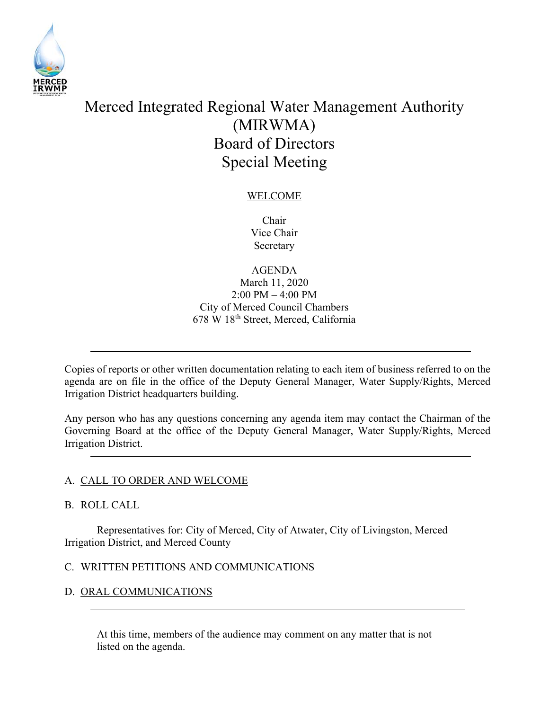

# Merced Integrated Regional Water Management Authority (MIRWMA) Board of Directors Special Meeting

# WELCOME

Chair Vice Chair Secretary

AGENDA

## March 11, 2020 2:00 PM – 4:00 PM City of Merced Council Chambers 678 W 18th Street, Merced, California

Copies of reports or other written documentation relating to each item of business referred to on the agenda are on file in the office of the Deputy General Manager, Water Supply/Rights, Merced Irrigation District headquarters building.

Any person who has any questions concerning any agenda item may contact the Chairman of the Governing Board at the office of the Deputy General Manager, Water Supply/Rights, Merced Irrigation District.

# A. CALL TO ORDER AND WELCOME

## B. ROLL CALL

 Representatives for: City of Merced, City of Atwater, City of Livingston, Merced Irrigation District, and Merced County

## C. WRITTEN PETITIONS AND COMMUNICATIONS

# D. ORAL COMMUNICATIONS

At this time, members of the audience may comment on any matter that is not listed on the agenda.